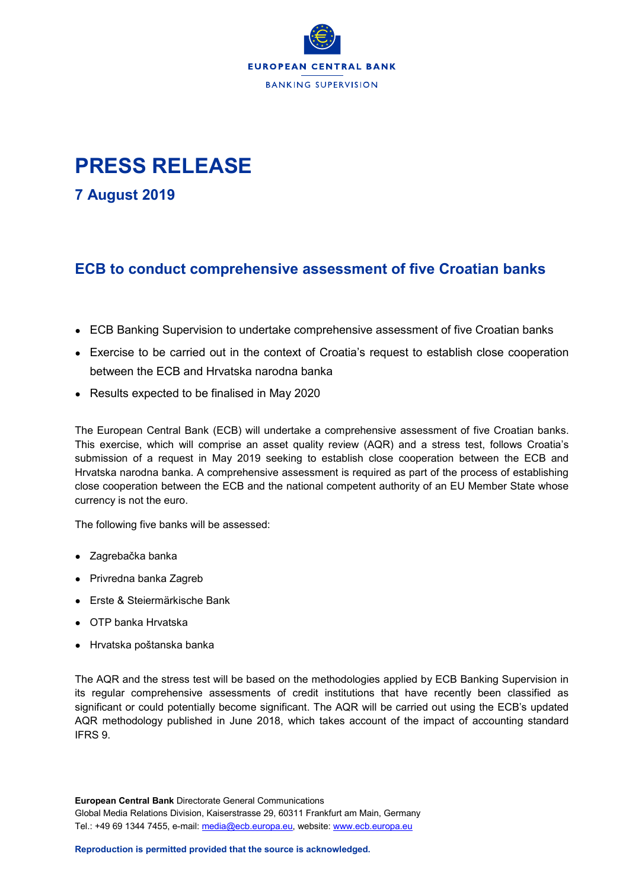

## **PRESS RELEASE**

**7 August 2019**

## **ECB to conduct comprehensive assessment of five Croatian banks**

- ECB Banking Supervision to undertake comprehensive assessment of five Croatian banks
- Exercise to be carried out in the context of Croatia's request to establish close cooperation between the ECB and Hrvatska narodna banka
- Results expected to be finalised in May 2020

The European Central Bank (ECB) will undertake a comprehensive assessment of five Croatian banks. This exercise, which will comprise an asset quality review (AQR) and a stress test, follows Croatia's submission of a request in May 2019 seeking to establish close cooperation between the ECB and Hrvatska narodna banka. A comprehensive assessment is required as part of the process of establishing close cooperation between the ECB and the national competent authority of an EU Member State whose currency is not the euro.

The following five banks will be assessed:

- Zagrebačka banka
- Privredna banka Zagreb
- Erste & Steiermärkische Bank
- OTP banka Hrvatska
- Hrvatska poštanska banka

The AQR and the stress test will be based on the methodologies applied by ECB Banking Supervision in its regular comprehensive assessments of credit institutions that have recently been classified as significant or could potentially become significant. The AQR will be carried out using the ECB's updated AQR methodology published in June 2018, which takes account of the impact of accounting standard IFRS 9.

**European Central Bank** Directorate General Communications Global Media Relations Division, Kaiserstrasse 29, 60311 Frankfurt am Main, Germany Tel.: +49 69 1344 7455, e-mail: [media@ecb.europa.eu,](mailto:media@ecb.europa.eu) website[: www.ecb.europa.eu](http://www.ecb.europa.eu/)